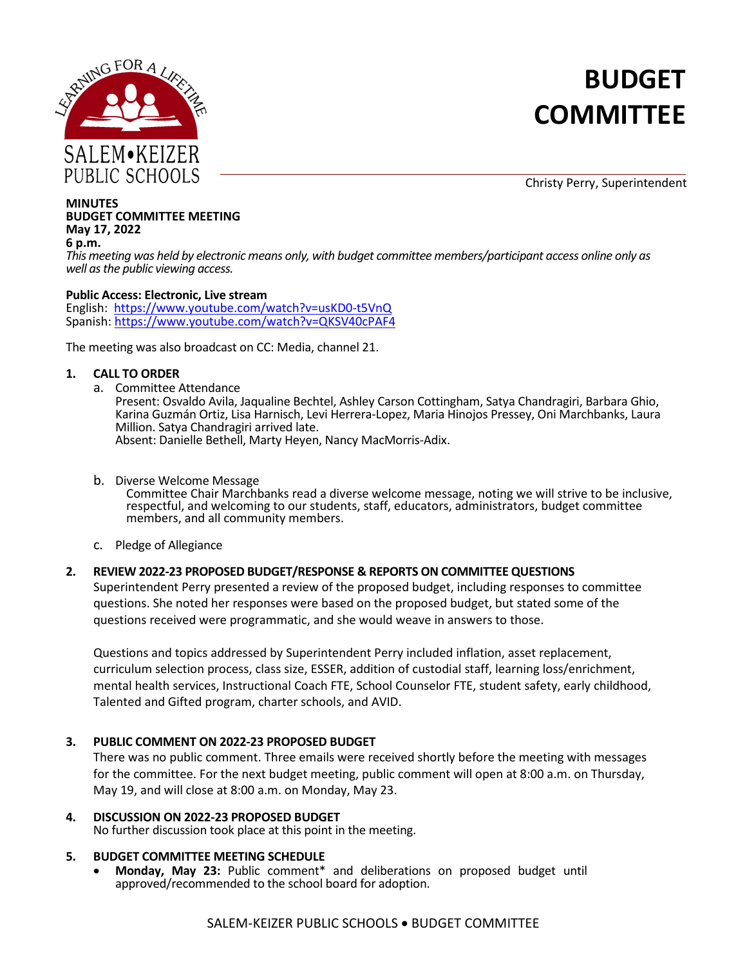

# **BUDGET COMMITTEE**

Christy Perry, Superintendent

#### **MINUTES BUDGET COMMITTEE MEETING May 17, 2022 6 p.m.**

*This meeting was held by electronic means only, with budget committee members/participant access online only as well as the public viewing access.*

#### **Public Access: Electronic, Live stream**

English: [https://www.youtube.com/watch?v=usKD0-t5VnQ](https://nam02.safelinks.protection.outlook.com/?url=https%3A%2F%2Fwww.youtube.com%2Fwatch%3Fv%3DusKD0-t5VnQ&data=05%7C01%7Cherbel_amanda%40salkeiz.k12.or.us%7C9efa7695df82453501da08da23a14d40%7C4576c5d9511647a380c9cc3eee950210%7C0%7C0%7C637861472945325800%7CUnknown%7CTWFpbGZsb3d8eyJWIjoiMC4wLjAwMDAiLCJQIjoiV2luMzIiLCJBTiI6Ik1haWwiLCJXVCI6Mn0%3D%7C3000%7C%7C%7C&sdata=8%2Fk95o2ZGu1kzk%2FF6iteso0FqnG5SUQzJdIF%2F%2FsepO4%3D&reserved=0) Spanish: [https://www.youtube.com/watch?v=QKSV40cPAF4](https://nam02.safelinks.protection.outlook.com/?url=https%3A%2F%2Fwww.youtube.com%2Fwatch%3Fv%3DQKSV40cPAF4&data=05%7C01%7Cherbel_amanda%40salkeiz.k12.or.us%7C9efa7695df82453501da08da23a14d40%7C4576c5d9511647a380c9cc3eee950210%7C0%7C0%7C637861472945325800%7CUnknown%7CTWFpbGZsb3d8eyJWIjoiMC4wLjAwMDAiLCJQIjoiV2luMzIiLCJBTiI6Ik1haWwiLCJXVCI6Mn0%3D%7C3000%7C%7C%7C&sdata=gaLM9gBPFDn97MbUZdUjLSU%2FzDnMLAsCXrzZHTqfK8c%3D&reserved=0)

The meeting was also broadcast on CC: Media, channel 21.

#### **1. CALL TO ORDER**

a. Committee Attendance

Present: Osvaldo Avila, Jaqualine Bechtel, Ashley Carson Cottingham, Satya Chandragiri, Barbara Ghio, Karina Guzmán Ortiz, Lisa Harnisch, Levi Herrera-Lopez, Maria Hinojos Pressey, Oni Marchbanks, Laura Million. Satya Chandragiri arrived late. Absent: Danielle Bethell, Marty Heyen, Nancy MacMorris-Adix.

b. Diverse Welcome Message

Committee Chair Marchbanks read a diverse welcome message, noting we will strive to be inclusive, respectful, and welcoming to our students, staff, educators, administrators, budget committee members, and all community members.

c. Pledge of Allegiance

## **2. REVIEW 2022-23 PROPOSED BUDGET/RESPONSE & REPORTS ON COMMITTEE QUESTIONS**

Superintendent Perry presented a review of the proposed budget, including responses to committee questions. She noted her responses were based on the proposed budget, but stated some of the questions received were programmatic, and she would weave in answers to those.

Questions and topics addressed by Superintendent Perry included inflation, asset replacement, curriculum selection process, class size, ESSER, addition of custodial staff, learning loss/enrichment, mental health services, Instructional Coach FTE, School Counselor FTE, student safety, early childhood, Talented and Gifted program, charter schools, and AVID.

## **3. PUBLIC COMMENT ON 2022-23 PROPOSED BUDGET**

There was no public comment. Three emails were received shortly before the meeting with messages for the committee. For the next budget meeting, public comment will open at 8:00 a.m. on Thursday, May 19, and will close at 8:00 a.m. on Monday, May 23.

**4. DISCUSSION ON 2022-23 PROPOSED BUDGET** No further discussion took place at this point in the meeting.

## **5. BUDGET COMMITTEE MEETING SCHEDULE**

• **Monday, May 23:** Public comment\* and deliberations on proposed budget until approved/recommended to the school board for adoption.